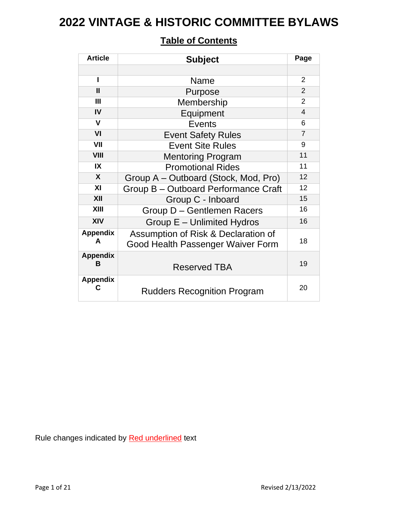| <b>Article</b>            | <b>Subject</b>                                                           | Page           |
|---------------------------|--------------------------------------------------------------------------|----------------|
|                           |                                                                          |                |
| $\mathbf{I}$              | Name                                                                     | $\overline{2}$ |
| $\mathbf{I}$              | Purpose                                                                  | $\mathcal{P}$  |
| $\mathbf{III}$            | Membership                                                               | $\overline{2}$ |
| IV                        | Equipment                                                                | 4              |
| V                         | <b>Events</b>                                                            | 6              |
| VI                        | <b>Event Safety Rules</b>                                                | $\overline{7}$ |
| VII                       | <b>Event Site Rules</b>                                                  | 9              |
| <b>VIII</b>               | <b>Mentoring Program</b>                                                 | 11             |
| IX                        | <b>Promotional Rides</b>                                                 | 11             |
| $\boldsymbol{\mathsf{X}}$ | Group A - Outboard (Stock, Mod, Pro)                                     | 12             |
| XI                        | Group B - Outboard Performance Craft                                     | 12             |
| XII                       | Group C - Inboard                                                        | 15             |
| XIII                      | Group D - Gentlemen Racers                                               | 16             |
| XIV                       | Group E - Unlimited Hydros                                               | 16             |
| <b>Appendix</b><br>A      | Assumption of Risk & Declaration of<br>Good Health Passenger Waiver Form | 18             |
| <b>Appendix</b><br>в      | <b>Reserved TBA</b>                                                      | 19             |
| <b>Appendix</b><br>С      | <b>Rudders Recognition Program</b>                                       | 20             |

### **Table of Contents**

Rule changes indicated by Red underlined text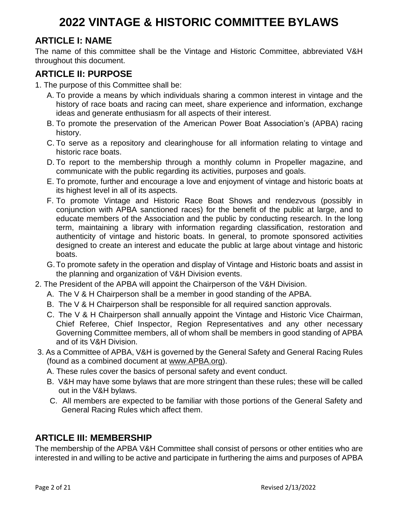### **ARTICLE I: NAME**

The name of this committee shall be the Vintage and Historic Committee, abbreviated V&H throughout this document.

#### **ARTICLE II: PURPOSE**

- 1. The purpose of this Committee shall be:
	- A. To provide a means by which individuals sharing a common interest in vintage and the history of race boats and racing can meet, share experience and information, exchange ideas and generate enthusiasm for all aspects of their interest.
	- B. To promote the preservation of the American Power Boat Association's (APBA) racing history.
	- C. To serve as a repository and clearinghouse for all information relating to vintage and historic race boats.
	- D. To report to the membership through a monthly column in Propeller magazine, and communicate with the public regarding its activities, purposes and goals.
	- E. To promote, further and encourage a love and enjoyment of vintage and historic boats at its highest level in all of its aspects.
	- F. To promote Vintage and Historic Race Boat Shows and rendezvous (possibly in conjunction with APBA sanctioned races) for the benefit of the public at large, and to educate members of the Association and the public by conducting research. In the long term, maintaining a library with information regarding classification, restoration and authenticity of vintage and historic boats. In general, to promote sponsored activities designed to create an interest and educate the public at large about vintage and historic boats.
	- G.To promote safety in the operation and display of Vintage and Historic boats and assist in the planning and organization of V&H Division events.
- 2. The President of the APBA will appoint the Chairperson of the V&H Division.
	- A. The V & H Chairperson shall be a member in good standing of the APBA.
	- B. The V & H Chairperson shall be responsible for all required sanction approvals.
	- C. The V & H Chairperson shall annually appoint the Vintage and Historic Vice Chairman, Chief Referee, Chief Inspector, Region Representatives and any other necessary Governing Committee members, all of whom shall be members in good standing of APBA and of its V&H Division.
- 3. As a Committee of APBA, V&H is governed by the General Safety and General Racing Rules (found as a combined document at [www.APBA.org\)](http://www.apba.org/).
	- A. These rules cover the basics of personal safety and event conduct.
	- B. V&H may have some bylaws that are more stringent than these rules; these will be called out in the V&H bylaws.
	- C. All members are expected to be familiar with those portions of the General Safety and General Racing Rules which affect them.

#### **ARTICLE III: MEMBERSHIP**

The membership of the APBA V&H Committee shall consist of persons or other entities who are interested in and willing to be active and participate in furthering the aims and purposes of APBA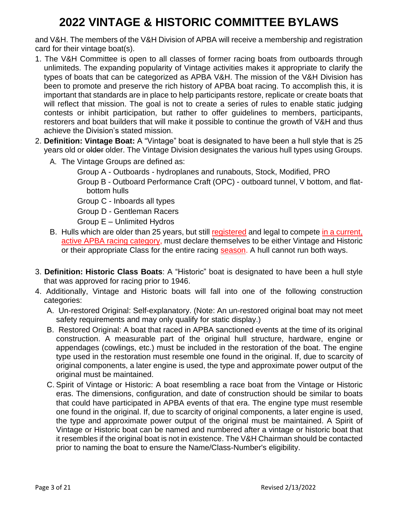and V&H. The members of the V&H Division of APBA will receive a membership and registration card for their vintage boat(s).

- 1. The V&H Committee is open to all classes of former racing boats from outboards through unlimiteds. The expanding popularity of Vintage activities makes it appropriate to clarify the types of boats that can be categorized as APBA V&H. The mission of the V&H Division has been to promote and preserve the rich history of APBA boat racing. To accomplish this, it is important that standards are in place to help participants restore, replicate or create boats that will reflect that mission. The goal is not to create a series of rules to enable static judging contests or inhibit participation, but rather to offer guidelines to members, participants, restorers and boat builders that will make it possible to continue the growth of V&H and thus achieve the Division's stated mission.
- 2. **Definition: Vintage Boat:** A "Vintage" boat is designated to have been a hull style that is 25 years old or older older. The Vintage Division designates the various hull types using Groups.
	- A. The Vintage Groups are defined as:
		- Group A Outboards hydroplanes and runabouts, Stock, Modified, PRO
		- Group B Outboard Performance Craft (OPC) outboard tunnel, V bottom, and flatbottom hulls
		- Group C Inboards all types
		- Group D Gentleman Racers
		- Group E Unlimited Hydros
	- B. Hulls which are older than 25 years, but still registered and legal to compete in a current, active APBA racing category, must declare themselves to be either Vintage and Historic or their appropriate Class for the entire racing season. A hull cannot run both ways.
- 3. **Definition: Historic Class Boats**: A "Historic" boat is designated to have been a hull style that was approved for racing prior to 1946.
- 4. Additionally, Vintage and Historic boats will fall into one of the following construction categories:
	- A. Un-restored Original: Self-explanatory. (Note: An un-restored original boat may not meet safety requirements and may only qualify for static display.)
	- B. Restored Original: A boat that raced in APBA sanctioned events at the time of its original construction. A measurable part of the original hull structure, hardware, engine or appendages (cowlings, etc.) must be included in the restoration of the boat. The engine type used in the restoration must resemble one found in the original. If, due to scarcity of original components, a later engine is used, the type and approximate power output of the original must be maintained.
	- C. Spirit of Vintage or Historic: A boat resembling a race boat from the Vintage or Historic eras. The dimensions, configuration, and date of construction should be similar to boats that could have participated in APBA events of that era. The engine type must resemble one found in the original. If, due to scarcity of original components, a later engine is used, the type and approximate power output of the original must be maintained. A Spirit of Vintage or Historic boat can be named and numbered after a vintage or historic boat that it resembles if the original boat is not in existence. The V&H Chairman should be contacted prior to naming the boat to ensure the Name/Class-Number's eligibility.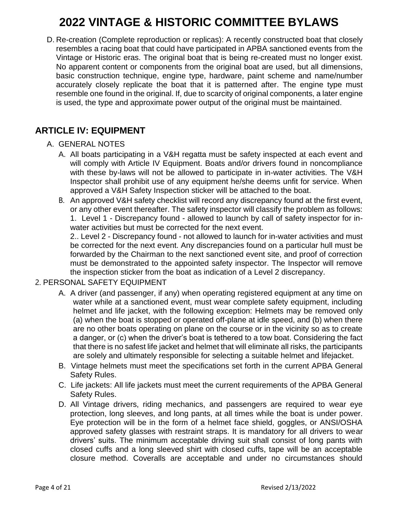D. Re-creation (Complete reproduction or replicas): A recently constructed boat that closely resembles a racing boat that could have participated in APBA sanctioned events from the Vintage or Historic eras. The original boat that is being re-created must no longer exist. No apparent content or components from the original boat are used, but all dimensions, basic construction technique, engine type, hardware, paint scheme and name/number accurately closely replicate the boat that it is patterned after. The engine type must resemble one found in the original. If, due to scarcity of original components, a later engine is used, the type and approximate power output of the original must be maintained.

#### **ARTICLE IV: EQUIPMENT**

#### A. GENERAL NOTES

- A. All boats participating in a V&H regatta must be safety inspected at each event and will comply with Article IV Equipment. Boats and/or drivers found in noncompliance with these by-laws will not be allowed to participate in in-water activities. The V&H Inspector shall prohibit use of any equipment he/she deems unfit for service. When approved a V&H Safety Inspection sticker will be attached to the boat.
- B. An approved V&H safety checklist will record any discrepancy found at the first event, or any other event thereafter. The safety inspector will classify the problem as follows: 1. Level 1 - Discrepancy found - allowed to launch by call of safety inspector for inwater activities but must be corrected for the next event.

2.. Level 2 - Discrepancy found - not allowed to launch for in-water activities and must be corrected for the next event. Any discrepancies found on a particular hull must be forwarded by the Chairman to the next sanctioned event site, and proof of correction must be demonstrated to the appointed safety inspector. The Inspector will remove the inspection sticker from the boat as indication of a Level 2 discrepancy.

#### 2. PERSONAL SAFETY EQUIPMENT

- A. A driver (and passenger, if any) when operating registered equipment at any time on water while at a sanctioned event, must wear complete safety equipment, including helmet and life jacket, with the following exception: Helmets may be removed only (a) when the boat is stopped or operated off-plane at idle speed, and (b) when there are no other boats operating on plane on the course or in the vicinity so as to create a danger, or (c) when the driver's boat is tethered to a tow boat. Considering the fact that there is no safest life jacket and helmet that will eliminate all risks, the participants are solely and ultimately responsible for selecting a suitable helmet and lifejacket.
- B. Vintage helmets must meet the specifications set forth in the current APBA General Safety Rules.
- C. Life jackets: All life jackets must meet the current requirements of the APBA General Safety Rules.
- D. All Vintage drivers, riding mechanics, and passengers are required to wear eye protection, long sleeves, and long pants, at all times while the boat is under power. Eye protection will be in the form of a helmet face shield, goggles, or ANSI/OSHA approved safety glasses with restraint straps. It is mandatory for all drivers to wear drivers' suits. The minimum acceptable driving suit shall consist of long pants with closed cuffs and a long sleeved shirt with closed cuffs, tape will be an acceptable closure method. Coveralls are acceptable and under no circumstances should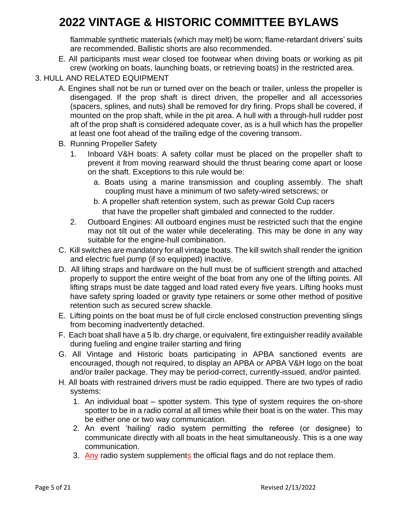flammable synthetic materials (which may melt) be worn; flame-retardant drivers' suits are recommended. Ballistic shorts are also recommended.

- E. All participants must wear closed toe footwear when driving boats or working as pit crew (working on boats, launching boats, or retrieving boats) in the restricted area.
- 3. HULL AND RELATED EQUIPMENT
	- A. Engines shall not be run or turned over on the beach or trailer, unless the propeller is disengaged. If the prop shaft is direct driven, the propeller and all accessories (spacers, splines, and nuts) shall be removed for dry firing. Props shall be covered, if mounted on the prop shaft, while in the pit area. A hull with a through-hull rudder post aft of the prop shaft is considered adequate cover, as is a hull which has the propeller at least one foot ahead of the trailing edge of the covering transom**.**
	- B. Running Propeller Safety
		- 1. Inboard V&H boats: A safety collar must be placed on the propeller shaft to prevent it from moving rearward should the thrust bearing come apart or loose on the shaft. Exceptions to this rule would be:
			- a. Boats using a marine transmission and coupling assembly. The shaft coupling must have a minimum of two safety-wired setscrews; or
			- b. A propeller shaft retention system, such as prewar Gold Cup racers that have the propeller shaft gimbaled and connected to the rudder.
		- 2. Outboard Engines: All outboard engines must be restricted such that the engine may not tilt out of the water while decelerating. This may be done in any way suitable for the engine-hull combination.
	- C. Kill switches are mandatory for all vintage boats. The kill switch shall render the ignition and electric fuel pump (if so equipped) inactive.
	- D. All lifting straps and hardware on the hull must be of sufficient strength and attached properly to support the entire weight of the boat from any one of the lifting points. All lifting straps must be date tagged and load rated every five years. Lifting hooks must have safety spring loaded or gravity type retainers or some other method of positive retention such as secured screw shackle.
	- E. Lifting points on the boat must be of full circle enclosed construction preventing slings from becoming inadvertently detached.
	- F. Each boat shall have a 5 lb. dry charge, or equivalent, fire extinguisher readily available during fueling and engine trailer starting and firing
	- G. All Vintage and Historic boats participating in APBA sanctioned events are encouraged, though not required, to display an APBA or APBA V&H logo on the boat and/or trailer package. They may be period-correct, currently-issued, and/or painted.
	- H. All boats with restrained drivers must be radio equipped. There are two types of radio systems:
		- 1. An individual boat spotter system. This type of system requires the on-shore spotter to be in a radio corral at all times while their boat is on the water. This may be either one or two way communication.
		- 2. An event 'hailing' radio system permitting the referee (or designee) to communicate directly with all boats in the heat simultaneously. This is a one way communication.
		- 3. Any radio system supplements the official flags and do not replace them.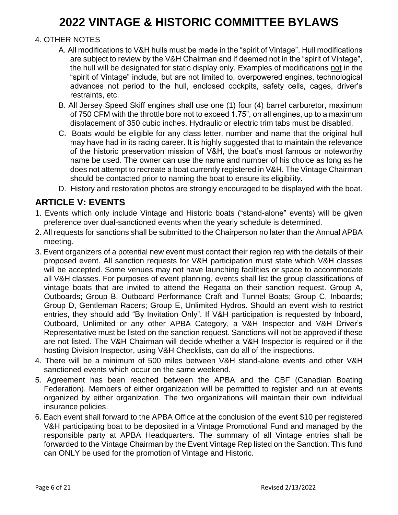#### 4. OTHER NOTES

- A. All modifications to V&H hulls must be made in the "spirit of Vintage". Hull modifications are subject to review by the V&H Chairman and if deemed not in the "spirit of Vintage", the hull will be designated for static display only. Examples of modifications not in the "spirit of Vintage" include, but are not limited to, overpowered engines, technological advances not period to the hull, enclosed cockpits, safety cells, cages, driver's restraints, etc.
- B. All Jersey Speed Skiff engines shall use one (1) four (4) barrel carburetor, maximum of 750 CFM with the throttle bore not to exceed 1.75", on all engines, up to a maximum displacement of 350 cubic inches. Hydraulic or electric trim tabs must be disabled.
- C. Boats would be eligible for any class letter, number and name that the original hull may have had in its racing career. It is highly suggested that to maintain the relevance of the historic preservation mission of V&H, the boat's most famous or noteworthy name be used. The owner can use the name and number of his choice as long as he does not attempt to recreate a boat currently registered in V&H. The Vintage Chairman should be contacted prior to naming the boat to ensure its eligibility.
- D. History and restoration photos are strongly encouraged to be displayed with the boat.

#### **ARTICLE V: EVENTS**

- 1. Events which only include Vintage and Historic boats ("stand-alone" events) will be given preference over dual-sanctioned events when the yearly schedule is determined.
- 2. All requests for sanctions shall be submitted to the Chairperson no later than the Annual APBA meeting.
- 3. Event organizers of a potential new event must contact their region rep with the details of their proposed event. All sanction requests for V&H participation must state which V&H classes will be accepted. Some venues may not have launching facilities or space to accommodate all V&H classes. For purposes of event planning, events shall list the group classifications of vintage boats that are invited to attend the Regatta on their sanction request. Group A, Outboards; Group B, Outboard Performance Craft and Tunnel Boats; Group C, Inboards; Group D, Gentleman Racers; Group E, Unlimited Hydros. Should an event wish to restrict entries, they should add "By Invitation Only". If V&H participation is requested by Inboard, Outboard, Unlimited or any other APBA Category, a V&H Inspector and V&H Driver's Representative must be listed on the sanction request. Sanctions will not be approved if these are not listed. The V&H Chairman will decide whether a V&H Inspector is required or if the hosting Division Inspector, using V&H Checklists, can do all of the inspections.
- 4. There will be a minimum of 500 miles between V&H stand-alone events and other V&H sanctioned events which occur on the same weekend.
- 5. Agreement has been reached between the APBA and the CBF (Canadian Boating Federation). Members of either organization will be permitted to register and run at events organized by either organization. The two organizations will maintain their own individual insurance policies.
- 6. Each event shall forward to the APBA Office at the conclusion of the event \$10 per registered V&H participating boat to be deposited in a Vintage Promotional Fund and managed by the responsible party at APBA Headquarters. The summary of all Vintage entries shall be forwarded to the Vintage Chairman by the Event Vintage Rep listed on the Sanction. This fund can ONLY be used for the promotion of Vintage and Historic.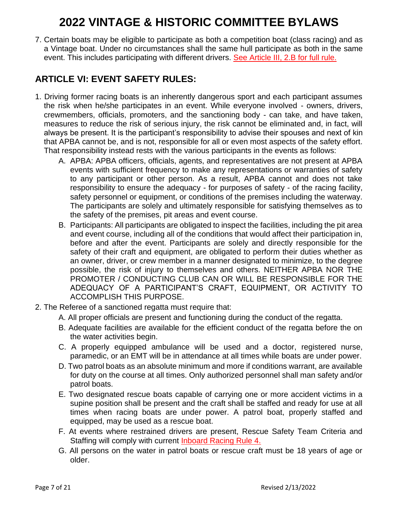7. Certain boats may be eligible to participate as both a competition boat (class racing) and as a Vintage boat. Under no circumstances shall the same hull participate as both in the same event. This includes participating with different drivers. See Article III, 2.B for full rule.

### **ARTICLE VI: EVENT SAFETY RULES:**

- 1. Driving former racing boats is an inherently dangerous sport and each participant assumes the risk when he/she participates in an event. While everyone involved - owners, drivers, crewmembers, officials, promoters, and the sanctioning body - can take, and have taken, measures to reduce the risk of serious injury, the risk cannot be eliminated and, in fact, will always be present. It is the participant's responsibility to advise their spouses and next of kin that APBA cannot be, and is not, responsible for all or even most aspects of the safety effort. That responsibility instead rests with the various participants in the events as follows:
	- A. APBA: APBA officers, officials, agents, and representatives are not present at APBA events with sufficient frequency to make any representations or warranties of safety to any participant or other person. As a result, APBA cannot and does not take responsibility to ensure the adequacy - for purposes of safety - of the racing facility, safety personnel or equipment, or conditions of the premises including the waterway. The participants are solely and ultimately responsible for satisfying themselves as to the safety of the premises, pit areas and event course.
	- B. Participants: All participants are obligated to inspect the facilities, including the pit area and event course, including all of the conditions that would affect their participation in, before and after the event. Participants are solely and directly responsible for the safety of their craft and equipment, are obligated to perform their duties whether as an owner, driver, or crew member in a manner designated to minimize, to the degree possible, the risk of injury to themselves and others. NEITHER APBA NOR THE PROMOTER / CONDUCTING CLUB CAN OR WILL BE RESPONSIBLE FOR THE ADEQUACY OF A PARTICIPANT'S CRAFT, EQUIPMENT, OR ACTIVITY TO ACCOMPLISH THIS PURPOSE.
- 2. The Referee of a sanctioned regatta must require that:
	- A. All proper officials are present and functioning during the conduct of the regatta.
	- B. Adequate facilities are available for the efficient conduct of the regatta before the on the water activities begin.
	- C. A properly equipped ambulance will be used and a doctor, registered nurse, paramedic, or an EMT will be in attendance at all times while boats are under power.
	- D. Two patrol boats as an absolute minimum and more if conditions warrant, are available for duty on the course at all times. Only authorized personnel shall man safety and/or patrol boats.
	- E. Two designated rescue boats capable of carrying one or more accident victims in a supine position shall be present and the craft shall be staffed and ready for use at all times when racing boats are under power. A patrol boat, properly staffed and equipped, may be used as a rescue boat.
	- F. At events where restrained drivers are present, Rescue Safety Team Criteria and Staffing will comply with current Inboard Racing Rule 4.
	- G. All persons on the water in patrol boats or rescue craft must be 18 years of age or older.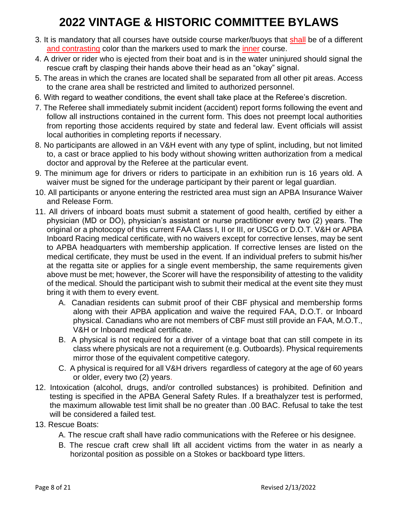- 3. It is mandatory that all courses have outside course marker/buoys that shall be of a different and contrasting color than the markers used to mark the inner course.
- 4. A driver or rider who is ejected from their boat and is in the water uninjured should signal the rescue craft by clasping their hands above their head as an "okay" signal.
- 5. The areas in which the cranes are located shall be separated from all other pit areas. Access to the crane area shall be restricted and limited to authorized personnel.
- 6. With regard to weather conditions, the event shall take place at the Referee's discretion.
- 7. The Referee shall immediately submit incident (accident) report forms following the event and follow all instructions contained in the current form. This does not preempt local authorities from reporting those accidents required by state and federal law. Event officials will assist local authorities in completing reports if necessary.
- 8. No participants are allowed in an V&H event with any type of splint, including, but not limited to, a cast or brace applied to his body without showing written authorization from a medical doctor and approval by the Referee at the particular event.
- 9. The minimum age for drivers or riders to participate in an exhibition run is 16 years old. A waiver must be signed for the underage participant by their parent or legal guardian.
- 10. All participants or anyone entering the restricted area must sign an APBA Insurance Waiver and Release Form.
- 11. All drivers of inboard boats must submit a statement of good health, certified by either a physician (MD or DO), physician's assistant or nurse practitioner every two (2) years. The original or a photocopy of this current FAA Class I, II or III, or USCG or D.O.T. V&H or APBA Inboard Racing medical certificate, with no waivers except for corrective lenses, may be sent to APBA headquarters with membership application. If corrective lenses are listed on the medical certificate, they must be used in the event. If an individual prefers to submit his/her at the regatta site or applies for a single event membership, the same requirements given above must be met; however, the Scorer will have the responsibility of attesting to the validity of the medical. Should the participant wish to submit their medical at the event site they must bring it with them to every event.
	- A. Canadian residents can submit proof of their CBF physical and membership forms along with their APBA application and waive the required FAA, D.O.T. or Inboard physical. Canadians who are not members of CBF must still provide an FAA, M.O.T., V&H or Inboard medical certificate.
	- B. A physical is not required for a driver of a vintage boat that can still compete in its class where physicals are not a requirement (e.g. Outboards). Physical requirements mirror those of the equivalent competitive category.
	- C. A physical is required for all V&H drivers regardless of category at the age of 60 years or older, every two (2) years.
- 12. Intoxication (alcohol, drugs, and/or controlled substances) is prohibited. Definition and testing is specified in the APBA General Safety Rules. If a breathalyzer test is performed, the maximum allowable test limit shall be no greater than .00 BAC. Refusal to take the test will be considered a failed test.
- 13. Rescue Boats:
	- A. The rescue craft shall have radio communications with the Referee or his designee.
	- B. The rescue craft crew shall lift all accident victims from the water in as nearly a horizontal position as possible on a Stokes or backboard type litters.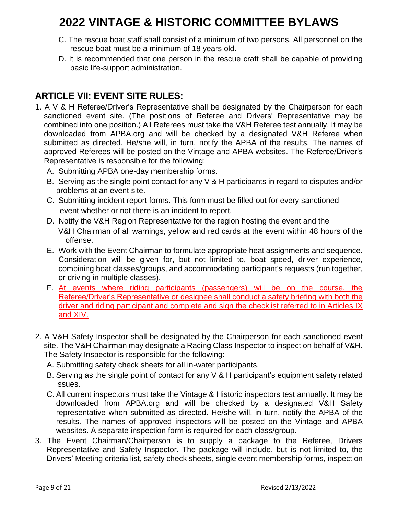- C. The rescue boat staff shall consist of a minimum of two persons. All personnel on the rescue boat must be a minimum of 18 years old.
- D. It is recommended that one person in the rescue craft shall be capable of providing basic life-support administration.

### **ARTICLE VII: EVENT SITE RULES:**

- 1. A V & H Referee/Driver's Representative shall be designated by the Chairperson for each sanctioned event site. (The positions of Referee and Drivers' Representative may be combined into one position.) All Referees must take the V&H Referee test annually. It may be downloaded from APBA.org and will be checked by a designated V&H Referee when submitted as directed. He/she will, in turn, notify the APBA of the results. The names of approved Referees will be posted on the Vintage and APBA websites. The Referee/Driver's Representative is responsible for the following:
	- A. Submitting APBA one-day membership forms.
	- B. Serving as the single point contact for any V & H participants in regard to disputes and/or problems at an event site.
	- C. Submitting incident report forms. This form must be filled out for every sanctioned event whether or not there is an incident to report.
	- D. Notify the V&H Region Representative for the region hosting the event and the V&H Chairman of all warnings, yellow and red cards at the event within 48 hours of the offense.
	- E. Work with the Event Chairman to formulate appropriate heat assignments and sequence. Consideration will be given for, but not limited to, boat speed, driver experience, combining boat classes/groups, and accommodating participant's requests (run together, or driving in multiple classes).
	- F. At events where riding participants (passengers) will be on the course, the Referee/Driver's Representative or designee shall conduct a safety briefing with both the driver and riding participant and complete and sign the checklist referred to in Articles IX and XIV.
- 2. A V&H Safety Inspector shall be designated by the Chairperson for each sanctioned event site. The V&H Chairman may designate a Racing Class Inspector to inspect on behalf of V&H. The Safety Inspector is responsible for the following:
	- A. Submitting safety check sheets for all in-water participants.
	- B. Serving as the single point of contact for any V & H participant's equipment safety related issues.
	- C. All current inspectors must take the Vintage & Historic inspectors test annually. It may be downloaded from APBA.org and will be checked by a designated V&H Safety representative when submitted as directed. He/she will, in turn, notify the APBA of the results. The names of approved inspectors will be posted on the Vintage and APBA websites. A separate inspection form is required for each class/group.
- 3. The Event Chairman/Chairperson is to supply a package to the Referee, Drivers Representative and Safety Inspector. The package will include, but is not limited to, the Drivers' Meeting criteria list, safety check sheets, single event membership forms, inspection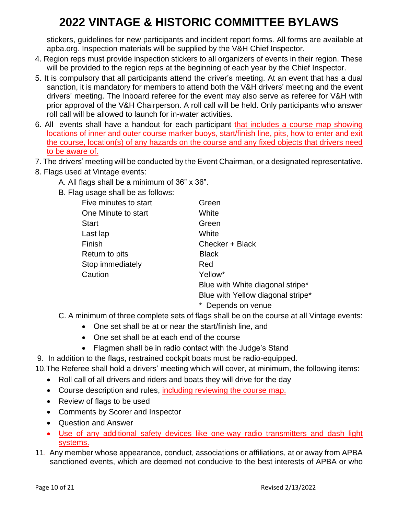stickers, guidelines for new participants and incident report forms. All forms are available at apba.org. Inspection materials will be supplied by the V&H Chief Inspector.

- 4. Region reps must provide inspection stickers to all organizers of events in their region. These will be provided to the region reps at the beginning of each year by the Chief Inspector.
- 5. It is compulsory that all participants attend the driver's meeting. At an event that has a dual sanction, it is mandatory for members to attend both the V&H drivers' meeting and the event drivers' meeting. The Inboard referee for the event may also serve as referee for V&H with prior approval of the V&H Chairperson. A roll call will be held. Only participants who answer roll call will be allowed to launch for in-water activities.
- 6. All events shall have a handout for each participant that includes a course map showing locations of inner and outer course marker buoys, start/finish line, pits, how to enter and exit the course, location(s) of any hazards on the course and any fixed objects that drivers need to be aware of.
- 7. The drivers' meeting will be conducted by the Event Chairman, or a designated representative.
- 8. Flags used at Vintage events:
	- A. All flags shall be a minimum of 36" x 36".
	- B. Flag usage shall be as follows:

| Five minutes to start | Green                             |
|-----------------------|-----------------------------------|
| One Minute to start   | White                             |
| <b>Start</b>          | Green                             |
| Last lap              | White                             |
| Finish                | Checker + Black                   |
| Return to pits        | <b>Black</b>                      |
| Stop immediately      | Red                               |
| Caution               | Yellow*                           |
|                       | Blue with White diagonal stripe*  |
|                       | Blue with Yellow diagonal stripe* |
|                       | Depends on venue                  |

C. A minimum of three complete sets of flags shall be on the course at all Vintage events:

- One set shall be at or near the start/finish line, and
- One set shall be at each end of the course
- Flagmen shall be in radio contact with the Judge's Stand
- 9. In addition to the flags, restrained cockpit boats must be radio-equipped.
- 10.The Referee shall hold a drivers' meeting which will cover, at minimum, the following items:
	- Roll call of all drivers and riders and boats they will drive for the day
	- Course description and rules, including reviewing the course map.
	- Review of flags to be used
	- Comments by Scorer and Inspector
	- Question and Answer
	- Use of any additional safety devices like one-way radio transmitters and dash light systems.
- 11. Any member whose appearance, conduct, associations or affiliations, at or away from APBA sanctioned events, which are deemed not conducive to the best interests of APBA or who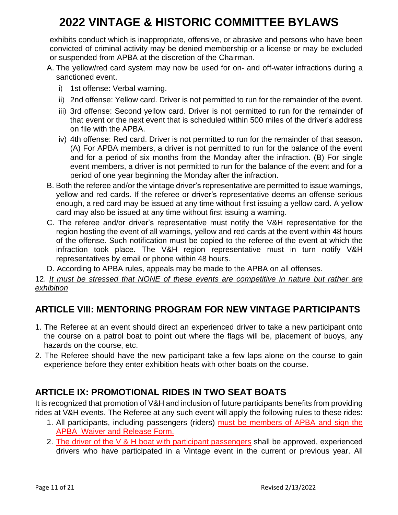exhibits conduct which is inappropriate, offensive, or abrasive and persons who have been convicted of criminal activity may be denied membership or a license or may be excluded or suspended from APBA at the discretion of the Chairman.

- A. The yellow/red card system may now be used for on- and off-water infractions during a sanctioned event.
	- i) 1st offense: Verbal warning.
	- ii) 2nd offense: Yellow card. Driver is not permitted to run for the remainder of the event.
	- iii) 3rd offense: Second yellow card. Driver is not permitted to run for the remainder of that event or the next event that is scheduled within 500 miles of the driver's address on file with the APBA.
	- iv) 4th offense: Red card. Driver is not permitted to run for the remainder of that season**.**  (A) For APBA members, a driver is not permitted to run for the balance of the event and for a period of six months from the Monday after the infraction. (B) For single event members, a driver is not permitted to run for the balance of the event and for a period of one year beginning the Monday after the infraction.
- B. Both the referee and/or the vintage driver's representative are permitted to issue warnings, yellow and red cards. If the referee or driver's representative deems an offense serious enough, a red card may be issued at any time without first issuing a yellow card. A yellow card may also be issued at any time without first issuing a warning.
- C. The referee and/or driver's representative must notify the V&H representative for the region hosting the event of all warnings, yellow and red cards at the event within 48 hours of the offense. Such notification must be copied to the referee of the event at which the infraction took place. The V&H region representative must in turn notify V&H representatives by email or phone within 48 hours.
- D. According to APBA rules, appeals may be made to the APBA on all offenses.

12. *It must be stressed that NONE of these events are competitive in nature but rather are exhibition*

### **ARTICLE VIII: MENTORING PROGRAM FOR NEW VINTAGE PARTICIPANTS**

- 1. The Referee at an event should direct an experienced driver to take a new participant onto the course on a patrol boat to point out where the flags will be, placement of buoys, any hazards on the course, etc.
- 2. The Referee should have the new participant take a few laps alone on the course to gain experience before they enter exhibition heats with other boats on the course.

## **ARTICLE IX: PROMOTIONAL RIDES IN TWO SEAT BOATS**

It is recognized that promotion of V&H and inclusion of future participants benefits from providing rides at V&H events. The Referee at any such event will apply the following rules to these rides:

- 1. All participants, including passengers (riders) must be members of APBA and sign the APBA Waiver and Release Form.
- 2. The driver of the V & H boat with participant passengers shall be approved, experienced drivers who have participated in a Vintage event in the current or previous year. All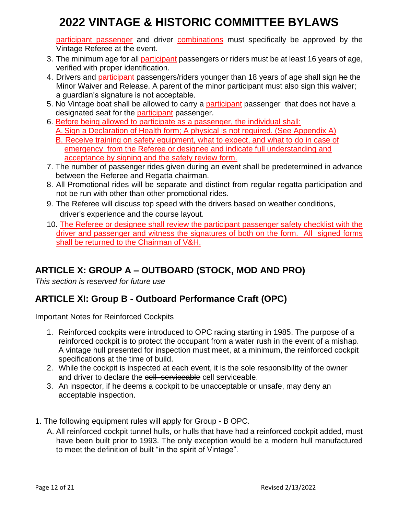participant passenger and driver combinations must specifically be approved by the Vintage Referee at the event.

- 3. The minimum age for all participant passengers or riders must be at least 16 years of age, verified with proper identification.
- 4. Drivers and participant passengers/riders younger than 18 years of age shall sign he the Minor Waiver and Release. A parent of the minor participant must also sign this waiver; a guardian's signature is not acceptable.
- 5. No Vintage boat shall be allowed to carry a participant passenger that does not have a designated seat for the participant passenger.
- 6. Before being allowed to participate as a passenger, the individual shall:
	- A. Sign a Declaration of Health form; A physical is not required. (See Appendix A)
	- B. Receive training on safety equipment, what to expect, and what to do in case of emergency from the Referee or designee and indicate full understanding and acceptance by signing and the safety review form.
- 7. The number of passenger rides given during an event shall be predetermined in advance between the Referee and Regatta chairman.
- 8. All Promotional rides will be separate and distinct from regular regatta participation and not be run with other than other promotional rides.
- 9. The Referee will discuss top speed with the drivers based on weather conditions, driver's experience and the course layout.
- 10. The Referee or designee shall review the participant passenger safety checklist with the driver and passenger and witness the signatures of both on the form. All signed forms shall be returned to the Chairman of V&H.

## **ARTICLE X: GROUP A – OUTBOARD (STOCK, MOD AND PRO)**

*This section is reserved for future use*

## **ARTICLE XI: Group B - Outboard Performance Craft (OPC)**

Important Notes for Reinforced Cockpits

- 1. Reinforced cockpits were introduced to OPC racing starting in 1985. The purpose of a reinforced cockpit is to protect the occupant from a water rush in the event of a mishap. A vintage hull presented for inspection must meet, at a minimum, the reinforced cockpit specifications at the time of build.
- 2. While the cockpit is inspected at each event, it is the sole responsibility of the owner and driver to declare the coll serviceable cell serviceable.
- 3. An inspector, if he deems a cockpit to be unacceptable or unsafe, may deny an acceptable inspection.
- 1. The following equipment rules will apply for Group B OPC.
	- A. All reinforced cockpit tunnel hulls, or hulls that have had a reinforced cockpit added, must have been built prior to 1993. The only exception would be a modern hull manufactured to meet the definition of built "in the spirit of Vintage".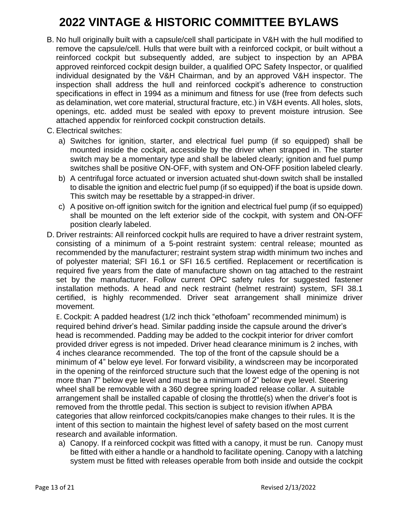- B. No hull originally built with a capsule/cell shall participate in V&H with the hull modified to remove the capsule/cell. Hulls that were built with a reinforced cockpit, or built without a reinforced cockpit but subsequently added, are subject to inspection by an APBA approved reinforced cockpit design builder, a qualified OPC Safety Inspector, or qualified individual designated by the V&H Chairman, and by an approved V&H inspector. The inspection shall address the hull and reinforced cockpit's adherence to construction specifications in effect in 1994 as a minimum and fitness for use (free from defects such as delamination, wet core material, structural fracture, etc.) in V&H events. All holes, slots, openings, etc. added must be sealed with epoxy to prevent moisture intrusion. See attached appendix for reinforced cockpit construction details.
- C. Electrical switches:
	- a) Switches for ignition, starter, and electrical fuel pump (if so equipped) shall be mounted inside the cockpit, accessible by the driver when strapped in. The starter switch may be a momentary type and shall be labeled clearly; ignition and fuel pump switches shall be positive ON-OFF, with system and ON-OFF position labeled clearly.
	- b) A centrifugal force actuated or inversion actuated shut-down switch shall be installed to disable the ignition and electric fuel pump (if so equipped) if the boat is upside down. This switch may be resettable by a strapped-in driver.
	- c) A positive on-off ignition switch for the ignition and electrical fuel pump (if so equipped) shall be mounted on the left exterior side of the cockpit, with system and ON-OFF position clearly labeled.
- D. Driver restraints: All reinforced cockpit hulls are required to have a driver restraint system, consisting of a minimum of a 5-point restraint system: central release; mounted as recommended by the manufacturer; restraint system strap width minimum two inches and of polyester material; SFI 16.1 or SFI 16.5 certified. Replacement or recertification is required five years from the date of manufacture shown on tag attached to the restraint set by the manufacturer. Follow current OPC safety rules for suggested fastener installation methods. A head and neck restraint (helmet restraint) system, SFI 38.1 certified, is highly recommended. Driver seat arrangement shall minimize driver movement.

E. Cockpit: A padded headrest (1/2 inch thick "ethofoam" recommended minimum) is required behind driver's head. Similar padding inside the capsule around the driver's head is recommended. Padding may be added to the cockpit interior for driver comfort provided driver egress is not impeded. Driver head clearance minimum is 2 inches, with 4 inches clearance recommended. The top of the front of the capsule should be a minimum of 4" below eye level. For forward visibility, a windscreen may be incorporated in the opening of the reinforced structure such that the lowest edge of the opening is not more than 7" below eye level and must be a minimum of 2" below eye level. Steering wheel shall be removable with a 360 degree spring loaded release collar. A suitable arrangement shall be installed capable of closing the throttle(s) when the driver's foot is removed from the throttle pedal. This section is subject to revision if/when APBA categories that allow reinforced cockpits/canopies make changes to their rules. It is the intent of this section to maintain the highest level of safety based on the most current research and available information.

a) Canopy. If a reinforced cockpit was fitted with a canopy, it must be run. Canopy must be fitted with either a handle or a handhold to facilitate opening. Canopy with a latching system must be fitted with releases operable from both inside and outside the cockpit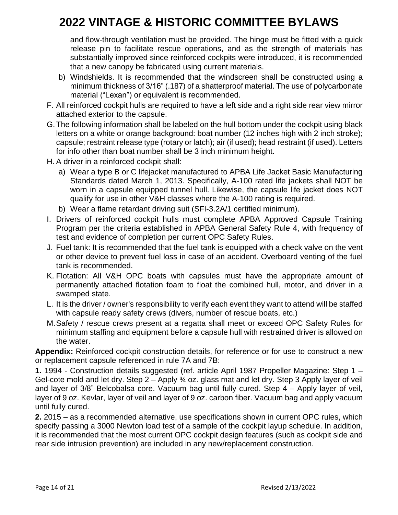and flow-through ventilation must be provided. The hinge must be fitted with a quick release pin to facilitate rescue operations, and as the strength of materials has substantially improved since reinforced cockpits were introduced, it is recommended that a new canopy be fabricated using current materials.

- b) Windshields. It is recommended that the windscreen shall be constructed using a minimum thickness of 3/16" (.187) of a shatterproof material. The use of polycarbonate material ("Lexan") or equivalent is recommended.
- F. All reinforced cockpit hulls are required to have a left side and a right side rear view mirror attached exterior to the capsule.
- G.The following information shall be labeled on the hull bottom under the cockpit using black letters on a white or orange background: boat number (12 inches high with 2 inch stroke); capsule; restraint release type (rotary or latch); air (if used); head restraint (if used). Letters for info other than boat number shall be 3 inch minimum height.
- H. A driver in a reinforced cockpit shall:
	- a) Wear a type B or C lifejacket manufactured to APBA Life Jacket Basic Manufacturing Standards dated March 1, 2013. Specifically, A-100 rated life jackets shall NOT be worn in a capsule equipped tunnel hull. Likewise, the capsule life jacket does NOT qualify for use in other V&H classes where the A-100 rating is required.
	- b) Wear a flame retardant driving suit (SFI-3.2A/1 certified minimum).
- I. Drivers of reinforced cockpit hulls must complete APBA Approved Capsule Training Program per the criteria established in APBA General Safety Rule 4, with frequency of test and evidence of completion per current OPC Safety Rules.
- J. Fuel tank: It is recommended that the fuel tank is equipped with a check valve on the vent or other device to prevent fuel loss in case of an accident. Overboard venting of the fuel tank is recommended.
- K. Flotation: All V&H OPC boats with capsules must have the appropriate amount of permanently attached flotation foam to float the combined hull, motor, and driver in a swamped state.
- L. It is the driver / owner's responsibility to verify each event they want to attend will be staffed with capsule ready safety crews (divers, number of rescue boats, etc.)
- M.Safety / rescue crews present at a regatta shall meet or exceed OPC Safety Rules for minimum staffing and equipment before a capsule hull with restrained driver is allowed on the water.

**Appendix:** Reinforced cockpit construction details, for reference or for use to construct a new or replacement capsule referenced in rule 7A and 7B:

**1.** 1994 - Construction details suggested (ref. article April 1987 Propeller Magazine: Step 1 – Gel-cote mold and let dry. Step 2 – Apply ¾ oz. glass mat and let dry. Step 3 Apply layer of veil and layer of 3/8" Belcobalsa core. Vacuum bag until fully cured. Step 4 – Apply layer of veil, layer of 9 oz. Kevlar, layer of veil and layer of 9 oz. carbon fiber. Vacuum bag and apply vacuum until fully cured.

**2.** 2015 – as a recommended alternative, use specifications shown in current OPC rules, which specify passing a 3000 Newton load test of a sample of the cockpit layup schedule. In addition, it is recommended that the most current OPC cockpit design features (such as cockpit side and rear side intrusion prevention) are included in any new/replacement construction.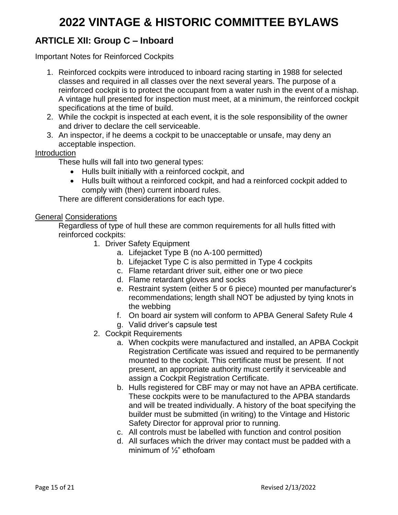### **ARTICLE XII: Group C – Inboard**

Important Notes for Reinforced Cockpits

- 1. Reinforced cockpits were introduced to inboard racing starting in 1988 for selected classes and required in all classes over the next several years. The purpose of a reinforced cockpit is to protect the occupant from a water rush in the event of a mishap. A vintage hull presented for inspection must meet, at a minimum, the reinforced cockpit specifications at the time of build.
- 2. While the cockpit is inspected at each event, it is the sole responsibility of the owner and driver to declare the cell serviceable.
- 3. An inspector, if he deems a cockpit to be unacceptable or unsafe, may deny an acceptable inspection.

#### Introduction

These hulls will fall into two general types:

- Hulls built initially with a reinforced cockpit, and
- Hulls built without a reinforced cockpit, and had a reinforced cockpit added to comply with (then) current inboard rules.

There are different considerations for each type.

#### General Considerations

Regardless of type of hull these are common requirements for all hulls fitted with reinforced cockpits:

- 1. Driver Safety Equipment
	- a. Lifejacket Type B (no A-100 permitted)
	- b. Lifejacket Type C is also permitted in Type 4 cockpits
	- c. Flame retardant driver suit, either one or two piece
	- d. Flame retardant gloves and socks
	- e. Restraint system (either 5 or 6 piece) mounted per manufacturer's recommendations; length shall NOT be adjusted by tying knots in the webbing
	- f. On board air system will conform to APBA General Safety Rule 4
	- g. Valid driver's capsule test
- 2. Cockpit Requirements
	- a. When cockpits were manufactured and installed, an APBA Cockpit Registration Certificate was issued and required to be permanently mounted to the cockpit. This certificate must be present. If not present, an appropriate authority must certify it serviceable and assign a Cockpit Registration Certificate.
	- b. Hulls registered for CBF may or may not have an APBA certificate. These cockpits were to be manufactured to the APBA standards and will be treated individually. A history of the boat specifying the builder must be submitted (in writing) to the Vintage and Historic Safety Director for approval prior to running.
	- c. All controls must be labelled with function and control position
	- d. All surfaces which the driver may contact must be padded with a minimum of ½" ethofoam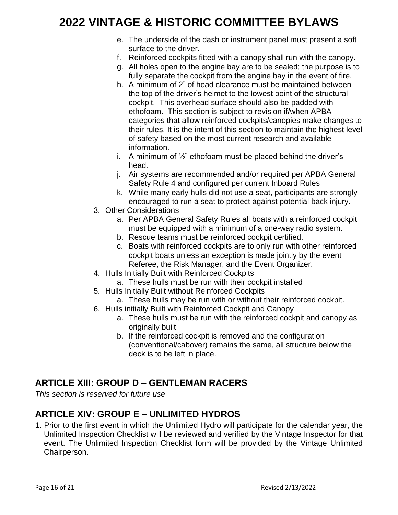- e. The underside of the dash or instrument panel must present a soft surface to the driver.
- f. Reinforced cockpits fitted with a canopy shall run with the canopy.
- g. All holes open to the engine bay are to be sealed; the purpose is to fully separate the cockpit from the engine bay in the event of fire.
- h. A minimum of 2" of head clearance must be maintained between the top of the driver's helmet to the lowest point of the structural cockpit. This overhead surface should also be padded with ethofoam. This section is subject to revision if/when APBA categories that allow reinforced cockpits/canopies make changes to their rules. It is the intent of this section to maintain the highest level of safety based on the most current research and available information.
- i. A minimum of  $\frac{1}{2}$ " ethofoam must be placed behind the driver's head.
- j. Air systems are recommended and/or required per APBA General Safety Rule 4 and configured per current Inboard Rules
- k. While many early hulls did not use a seat, participants are strongly encouraged to run a seat to protect against potential back injury.
- 3. Other Considerations
	- a. Per APBA General Safety Rules all boats with a reinforced cockpit must be equipped with a minimum of a one-way radio system.
	- b. Rescue teams must be reinforced cockpit certified.
	- c. Boats with reinforced cockpits are to only run with other reinforced cockpit boats unless an exception is made jointly by the event Referee, the Risk Manager, and the Event Organizer.
- 4. Hulls Initially Built with Reinforced Cockpits
	- a. These hulls must be run with their cockpit installed
- 5. Hulls Initially Built without Reinforced Cockpits
	- a. These hulls may be run with or without their reinforced cockpit.
- 6. Hulls initially Built with Reinforced Cockpit and Canopy
	- a. These hulls must be run with the reinforced cockpit and canopy as originally built
	- b. If the reinforced cockpit is removed and the configuration (conventional/cabover) remains the same, all structure below the deck is to be left in place.

## **ARTICLE XIII: GROUP D – GENTLEMAN RACERS**

*This section is reserved for future use*

### **ARTICLE XIV: GROUP E – UNLIMITED HYDROS**

1. Prior to the first event in which the Unlimited Hydro will participate for the calendar year, the Unlimited Inspection Checklist will be reviewed and verified by the Vintage Inspector for that event. The Unlimited Inspection Checklist form will be provided by the Vintage Unlimited Chairperson.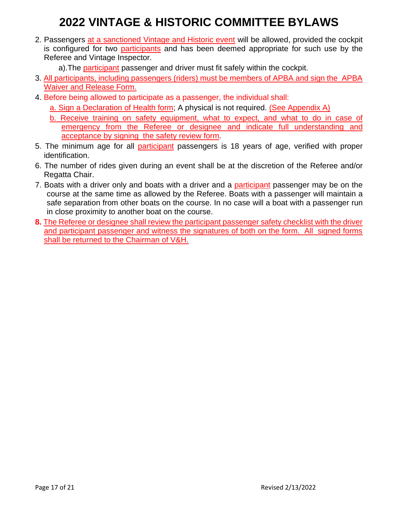- 2. Passengers at a sanctioned Vintage and Historic event will be allowed, provided the cockpit is configured for two participants and has been deemed appropriate for such use by the Referee and Vintage Inspector.
	- a). The participant passenger and driver must fit safely within the cockpit.
- 3. All participants, including passengers (riders) must be members of APBA and sign the APBA Waiver and Release Form.
- 4. Before being allowed to participate as a passenger, the individual shall:
	- a. Sign a Declaration of Health form; A physical is not required. (See Appendix A)
	- b. Receive training on safety equipment, what to expect, and what to do in case of emergency from the Referee or designee and indicate full understanding and acceptance by signing the safety review form.
- 5. The minimum age for all participant passengers is 18 years of age, verified with proper identification.
- 6. The number of rides given during an event shall be at the discretion of the Referee and/or Regatta Chair.
- 7. Boats with a driver only and boats with a driver and a participant passenger may be on the course at the same time as allowed by the Referee. Boats with a passenger will maintain a safe separation from other boats on the course. In no case will a boat with a passenger run in close proximity to another boat on the course.
- **8.** The Referee or designee shall review the participant passenger safety checklist with the driver and participant passenger and witness the signatures of both on the form. All signed forms shall be returned to the Chairman of V&H.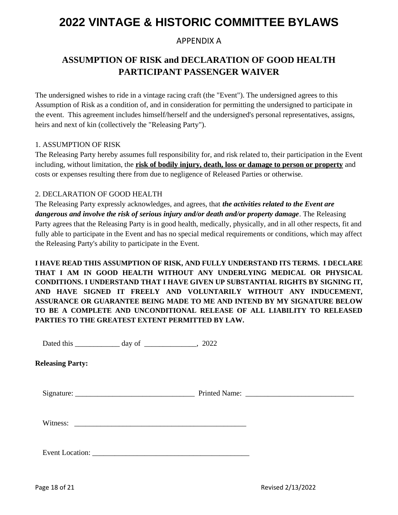#### APPENDIX A

## **ASSUMPTION OF RISK and DECLARATION OF GOOD HEALTH PARTICIPANT PASSENGER WAIVER**

The undersigned wishes to ride in a vintage racing craft (the "Event"). The undersigned agrees to this Assumption of Risk as a condition of, and in consideration for permitting the undersigned to participate in the event. This agreement includes himself/herself and the undersigned's personal representatives, assigns, heirs and next of kin (collectively the "Releasing Party").

#### 1. ASSUMPTION OF RISK

The Releasing Party hereby assumes full responsibility for, and risk related to, their participation in the Event including, without limitation, the **risk of bodily injury, death, loss or damage to person or property** and costs or expenses resulting there from due to negligence of Released Parties or otherwise.

#### 2. DECLARATION OF GOOD HEALTH

The Releasing Party expressly acknowledges, and agrees, that *the activities related to the Event are dangerous and involve the risk of serious injury and/or death and/or property damage*. The Releasing Party agrees that the Releasing Party is in good health, medically, physically, and in all other respects, fit and fully able to participate in the Event and has no special medical requirements or conditions, which may affect the Releasing Party's ability to participate in the Event.

**I HAVE READ THIS ASSUMPTION OF RISK, AND FULLY UNDERSTAND ITS TERMS. I DECLARE THAT I AM IN GOOD HEALTH WITHOUT ANY UNDERLYING MEDICAL OR PHYSICAL CONDITIONS. I UNDERSTAND THAT I HAVE GIVEN UP SUBSTANTIAL RIGHTS BY SIGNING IT, AND HAVE SIGNED IT FREELY AND VOLUNTARILY WITHOUT ANY INDUCEMENT, ASSURANCE OR GUARANTEE BEING MADE TO ME AND INTEND BY MY SIGNATURE BELOW TO BE A COMPLETE AND UNCONDITIONAL RELEASE OF ALL LIABILITY TO RELEASED PARTIES TO THE GREATEST EXTENT PERMITTED BY LAW.** 

Dated this \_\_\_\_\_\_\_\_\_\_\_\_\_\_ day of \_\_\_\_\_\_\_\_\_\_\_\_, 2022

**Releasing Party:**

Signature: \_\_\_\_\_\_\_\_\_\_\_\_\_\_\_\_\_\_\_\_\_\_\_\_\_\_\_\_\_\_\_\_ Printed Name: \_\_\_\_\_\_\_\_\_\_\_\_\_\_\_\_\_\_\_\_\_\_\_\_\_\_\_\_\_

Witness:

Event Location: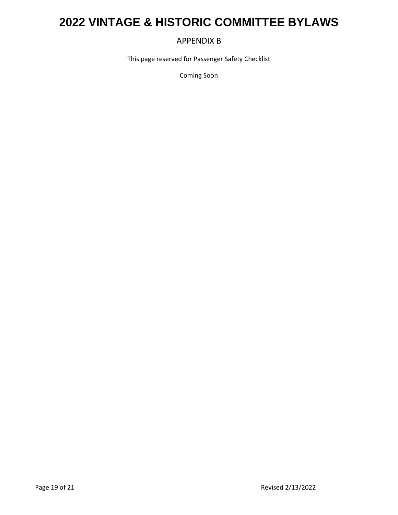#### APPENDIX B

This page reserved for Passenger Safety Checklist

Coming Soon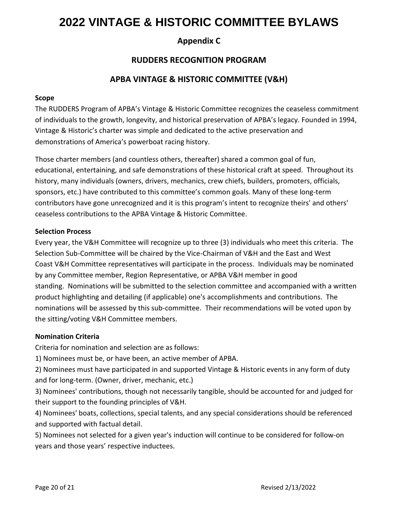#### **Appendix C**

#### **RUDDERS RECOGNITION PROGRAM**

#### **APBA VINTAGE & HISTORIC COMMITTEE (V&H)**

#### **Scope**

The RUDDERS Program of APBA's Vintage & Historic Committee recognizes the ceaseless commitment of individuals to the growth, longevity, and historical preservation of APBA's legacy. Founded in 1994, Vintage & Historic's charter was simple and dedicated to the active preservation and demonstrations of America's powerboat racing history.

Those charter members (and countless others, thereafter) shared a common goal of fun, educational, entertaining, and safe demonstrations of these historical craft at speed. Throughout its history, many individuals (owners, drivers, mechanics, crew chiefs, builders, promoters, officials, sponsors, etc.) have contributed to this committee's common goals. Many of these long-term contributors have gone unrecognized and it is this program's intent to recognize theirs' and others' ceaseless contributions to the APBA Vintage & Historic Committee.

#### **Selection Process**

Every year, the V&H Committee will recognize up to three (3) individuals who meet this criteria. The Selection Sub-Committee will be chaired by the Vice-Chairman of V&H and the East and West Coast V&H Committee representatives will participate in the process. Individuals may be nominated by any Committee member, Region Representative, or APBA V&H member in good standing. Nominations will be submitted to the selection committee and accompanied with a written product highlighting and detailing (if applicable) one's accomplishments and contributions. The nominations will be assessed by this sub-committee. Their recommendations will be voted upon by the sitting/voting V&H Committee members.

#### **Nomination Criteria**

Criteria for nomination and selection are as follows:

1) Nominees must be, or have been, an active member of APBA.

2) Nominees must have participated in and supported Vintage & Historic events in any form of duty and for long-term. (Owner, driver, mechanic, etc.)

3) Nominees' contributions, though not necessarily tangible, should be accounted for and judged for their support to the founding principles of V&H.

4) Nominees' boats, collections, special talents, and any special considerations should be referenced and supported with factual detail.

5) Nominees not selected for a given year's induction will continue to be considered for follow-on years and those years' respective inductees.